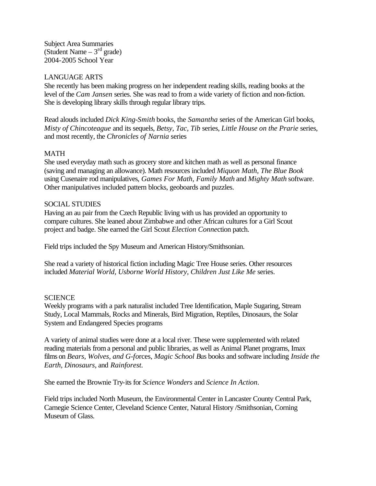Subject Area Summaries (Student Name  $-3<sup>rd</sup>$  grade) 2004-2005 School Year

### LANGUAGE ARTS

She recently has been making progress on her independent reading skills, reading books at the level of the *Cam Jansen* series. She was read to from a wide variety of fiction and non-fiction. She is developing library skills through regular library trips.

Read alouds included *Dick King-Smith* books, the *Samantha* series of the American Girl books, *Misty of Chincoteague* and its sequels, *Betsy, Tac, Tib* series, *Little House on the Prarie* series, and most recently, the *Chronicles of Narnia* series

## MATH

 She used everyday math such as grocery store and kitchen math as well as personal finance (saving and managing an allowance). Math resources included *Miquon Math, The Blue Book*  using Cusenaire rod manipulatives*, Games For Math, Family Math* and *Mighty Math* software. Other manipulatives included pattern blocks, geoboards and puzzles.

### SOCIAL STUDIES

Having an au pair from the Czech Republic living with us has provided an opportunity to compare cultures. She leaned about Zimbabwe and other African cultures for a Girl Scout project and badge. She earned the Girl Scout *Election Conne*ction patch.

Field trips included the Spy Museum and American History/Smithsonian.

She read a variety of historical fiction including Magic Tree House series. Other resources included *Material World, Usborne World History, Children Just Like Me* series.

### **SCIENCE**

Weekly programs with a park naturalist included Tree Identification, Maple Sugaring, Stream Study, Local Mammals, Rocks and Minerals, Bird Migration, Reptiles, Dinosaurs, the Solar System and Endangered Species programs

A variety of animal studies were done at a local river. These were supplemented with related reading materials from a personal and public libraries, as well as Animal Planet programs, Imax films on *Bears, Wolves, and G-fo*rces, *Magic School B*us books and software including *Inside the Earth, Dinosaurs*, and *Rainforest.*

She earned the Brownie Try-its for *Science Wonders* and *Science In Action*.

Field trips included North Museum, the Environmental Center in Lancaster County Central Park, Carnegie Science Center, Cleveland Science Center, Natural History /Smithsonian, Corning Museum of Glass.